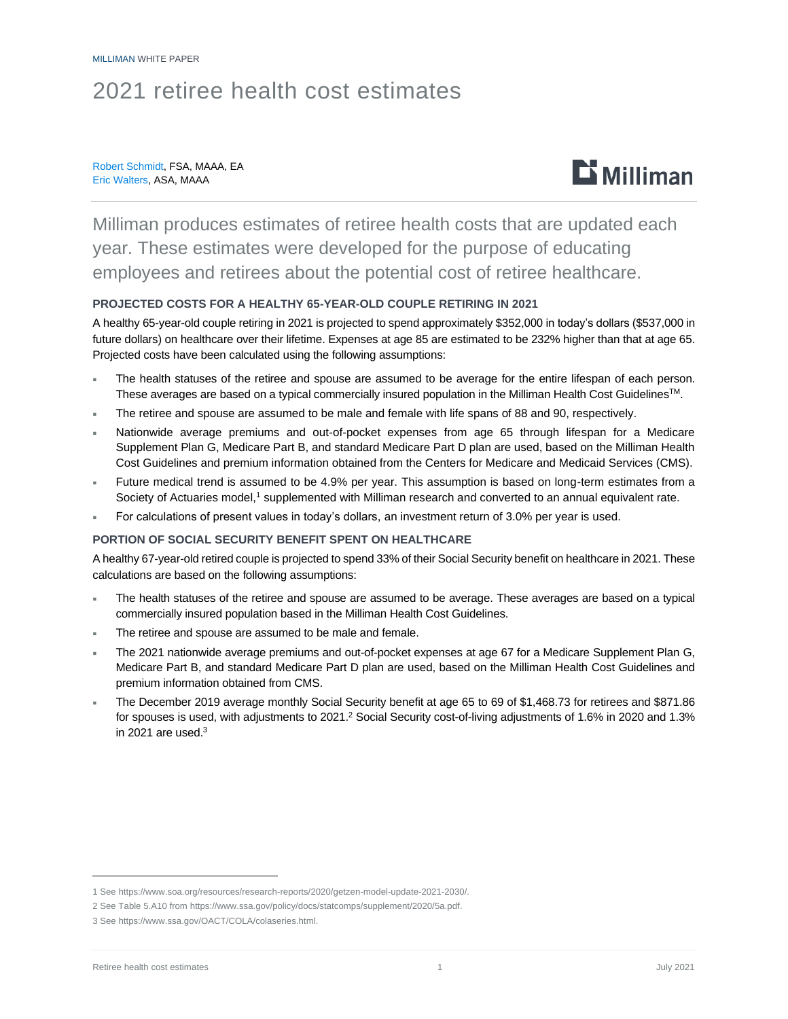## 2021 retiree health cost estimates

#### Robert Schmidt, FSA, MAAA, EA Eric Walters, ASA, MAAA



Milliman produces estimates of retiree health costs that are updated each year. These estimates were developed for the purpose of educating employees and retirees about the potential cost of retiree healthcare.

#### **PROJECTED COSTS FOR A HEALTHY 65-YEAR-OLD COUPLE RETIRING IN 2021**

A healthy 65-year-old couple retiring in 2021 is projected to spend approximately \$352,000 in today's dollars (\$537,000 in future dollars) on healthcare over their lifetime. Expenses at age 85 are estimated to be 232% higher than that at age 65. Projected costs have been calculated using the following assumptions:

- The health statuses of the retiree and spouse are assumed to be average for the entire lifespan of each person. These averages are based on a typical commercially insured population in the Milliman Health Cost Guidelines<sup>™</sup>.
- The retiree and spouse are assumed to be male and female with life spans of 88 and 90, respectively.
- Nationwide average premiums and out-of-pocket expenses from age 65 through lifespan for a Medicare Supplement Plan G, Medicare Part B, and standard Medicare Part D plan are used, based on the Milliman Health Cost Guidelines and premium information obtained from the Centers for Medicare and Medicaid Services (CMS).
- Future medical trend is assumed to be 4.9% per year. This assumption is based on long-term estimates from a Society of Actuaries model,<sup>1</sup> supplemented with Milliman research and converted to an annual equivalent rate.
- For calculations of present values in today's dollars, an investment return of 3.0% per year is used.

#### **PORTION OF SOCIAL SECURITY BENEFIT SPENT ON HEALTHCARE**

A healthy 67-year-old retired couple is projected to spend 33% of their Social Security benefit on healthcare in 2021. These calculations are based on the following assumptions:

- The health statuses of the retiree and spouse are assumed to be average. These averages are based on a typical commercially insured population based in the Milliman Health Cost Guidelines.
- The retiree and spouse are assumed to be male and female.
- The 2021 nationwide average premiums and out-of-pocket expenses at age 67 for a Medicare Supplement Plan G, Medicare Part B, and standard Medicare Part D plan are used, based on the Milliman Health Cost Guidelines and premium information obtained from CMS.
- The December 2019 average monthly Social Security benefit at age 65 to 69 of \$1,468.73 for retirees and \$871.86 for spouses is used, with adjustments to 2021.<sup>2</sup> Social Security cost-of-living adjustments of 1.6% in 2020 and 1.3% in 2021 are used  $3$

<sup>1</sup> Se[e https://www.soa.org/resources/research-reports/2020/getzen-model-update-2021-2030/.](https://www.soa.org/resources/research-reports/2020/getzen-model-update-2021-2030/)

<sup>2</sup> See Table 5.A10 from [https://www.ssa.gov/policy/docs/statcomps/supplement/2020/5a.pdf.](https://www.ssa.gov/policy/docs/statcomps/supplement/2020/5a.pdf)

<sup>3</sup> Se[e https://www.ssa.gov/OACT/COLA/colaseries.html.](https://www.ssa.gov/OACT/COLA/colaseries.html)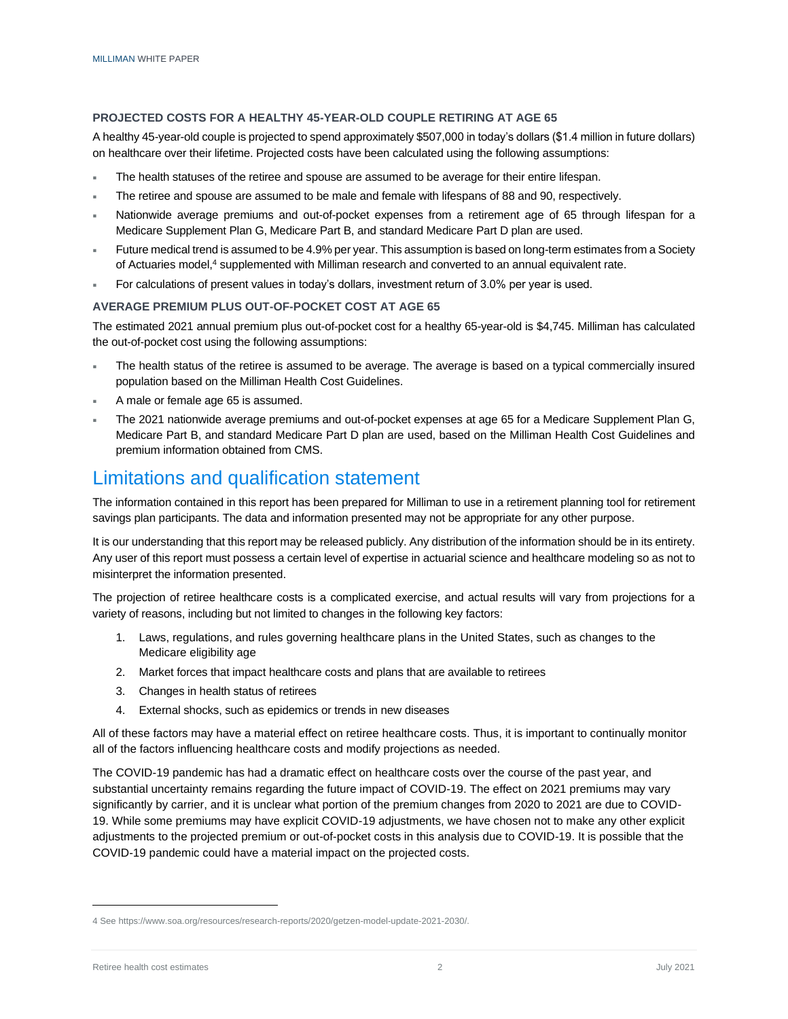#### **PROJECTED COSTS FOR A HEALTHY 45-YEAR-OLD COUPLE RETIRING AT AGE 65**

A healthy 45-year-old couple is projected to spend approximately \$507,000 in today's dollars (\$1.4 million in future dollars) on healthcare over their lifetime. Projected costs have been calculated using the following assumptions:

- The health statuses of the retiree and spouse are assumed to be average for their entire lifespan.
- The retiree and spouse are assumed to be male and female with lifespans of 88 and 90, respectively.
- Nationwide average premiums and out-of-pocket expenses from a retirement age of 65 through lifespan for a Medicare Supplement Plan G, Medicare Part B, and standard Medicare Part D plan are used.
- Future medical trend is assumed to be 4.9% per year. This assumption is based on long-term estimates from a Society of Actuaries model,<sup>4</sup> supplemented with Milliman research and converted to an annual equivalent rate.
- For calculations of present values in today's dollars, investment return of 3.0% per year is used.

#### **AVERAGE PREMIUM PLUS OUT-OF-POCKET COST AT AGE 65**

The estimated 2021 annual premium plus out-of-pocket cost for a healthy 65-year-old is \$4,745. Milliman has calculated the out-of-pocket cost using the following assumptions:

- The health status of the retiree is assumed to be average. The average is based on a typical commercially insured population based on the Milliman Health Cost Guidelines.
- A male or female age 65 is assumed.
- The 2021 nationwide average premiums and out-of-pocket expenses at age 65 for a Medicare Supplement Plan G, Medicare Part B, and standard Medicare Part D plan are used, based on the Milliman Health Cost Guidelines and premium information obtained from CMS.

### Limitations and qualification statement

The information contained in this report has been prepared for Milliman to use in a retirement planning tool for retirement savings plan participants. The data and information presented may not be appropriate for any other purpose.

It is our understanding that this report may be released publicly. Any distribution of the information should be in its entirety. Any user of this report must possess a certain level of expertise in actuarial science and healthcare modeling so as not to misinterpret the information presented.

The projection of retiree healthcare costs is a complicated exercise, and actual results will vary from projections for a variety of reasons, including but not limited to changes in the following key factors:

- 1. Laws, regulations, and rules governing healthcare plans in the United States, such as changes to the Medicare eligibility age
- 2. Market forces that impact healthcare costs and plans that are available to retirees
- 3. Changes in health status of retirees
- 4. External shocks, such as epidemics or trends in new diseases

All of these factors may have a material effect on retiree healthcare costs. Thus, it is important to continually monitor all of the factors influencing healthcare costs and modify projections as needed.

The COVID-19 pandemic has had a dramatic effect on healthcare costs over the course of the past year, and substantial uncertainty remains regarding the future impact of COVID-19. The effect on 2021 premiums may vary significantly by carrier, and it is unclear what portion of the premium changes from 2020 to 2021 are due to COVID-19. While some premiums may have explicit COVID-19 adjustments, we have chosen not to make any other explicit adjustments to the projected premium or out-of-pocket costs in this analysis due to COVID-19. It is possible that the COVID-19 pandemic could have a material impact on the projected costs.

<sup>4</sup> Se[e https://www.soa.org/resources/research-reports/2020/getzen-model-update-2021-2030/.](https://www.soa.org/resources/research-reports/2020/getzen-model-update-2021-2030/)